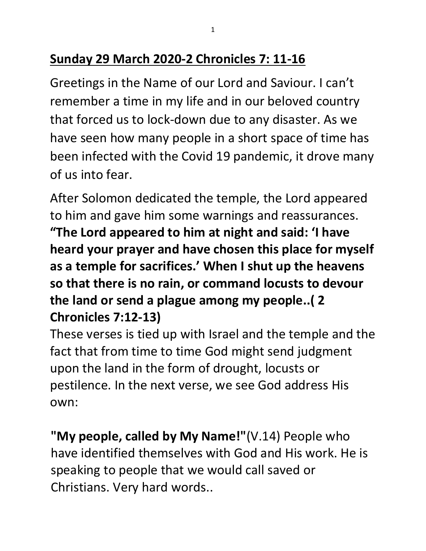## **Sunday 29 March 2020-2 Chronicles 7: 11-16**

Greetings in the Name of our Lord and Saviour. I can't remember a time in my life and in our beloved country that forced us to lock-down due to any disaster. As we have seen how many people in a short space of time has been infected with the Covid 19 pandemic, it drove many of us into fear.

After Solomon dedicated the temple, the Lord appeared to him and gave him some warnings and reassurances. **"The Lord appeared to him at night and said: 'I have heard your prayer and have chosen this place for myself as a temple for sacrifices.' When I shut up the heavens so that there is no rain, or command locusts to devour the land or send a plague among my people..( 2 Chronicles 7:12-13)**

These verses is tied up with Israel and the temple and the fact that from time to time God might send judgment upon the land in the form of drought, locusts or pestilence. In the next verse, we see God address His own:

**"My people, called by My Name!"**(V.14) People who have identified themselves with God and His work. He is speaking to people that we would call saved or Christians. Very hard words..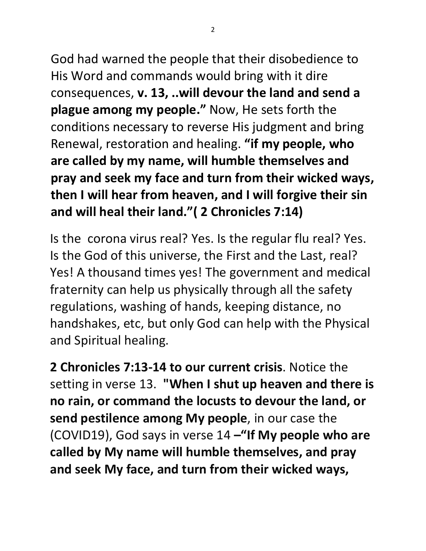2

God had warned the people that their disobedience to His Word and commands would bring with it dire consequences, **v. 13, ..will devour the land and send a plague among my people."** Now, He sets forth the conditions necessary to reverse His judgment and bring Renewal, restoration and healing. **"if my people, who are called by my name, will humble themselves and pray and seek my face and turn from their wicked ways, then I will hear from heaven, and I will forgive their sin and will heal their land."( 2 Chronicles 7:14)**

Is the corona virus real? Yes. Is the regular flu real? Yes. Is the God of this universe, the First and the Last, real? Yes! A thousand times yes! The government and medical fraternity can help us physically through all the safety regulations, washing of hands, keeping distance, no handshakes, etc, but only God can help with the Physical and Spiritual healing.

**2 Chronicles 7:13-14 to our current crisis**. Notice the setting in verse 13. **"When I shut up heaven and there is no rain, or command the locusts to devour the land, or send pestilence among My people**, in our case the (COVID19), God says in verse 14 **–"If My people who are called by My name will humble themselves, and pray and seek My face, and turn from their wicked ways,**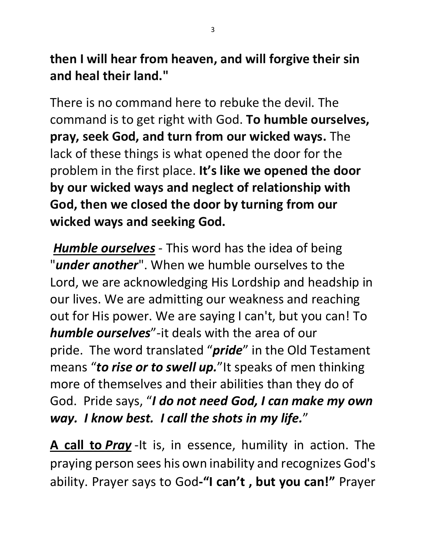**then I will hear from heaven, and will forgive their sin and heal their land."**

There is no command here to rebuke the devil. The command is to get right with God. **To humble ourselves, pray, seek God, and turn from our wicked ways.** The lack of these things is what opened the door for the problem in the first place. **It's like we opened the door by our wicked ways and neglect of relationship with God, then we closed the door by turning from our wicked ways and seeking God.**

*Humble ourselves* - This word has the idea of being "*under another*". When we humble ourselves to the Lord, we are acknowledging His Lordship and headship in our lives. We are admitting our weakness and reaching out for His power. We are saying I can't, but you can! To *humble ourselves*"-it deals with the area of our pride. The word translated "*pride*" in the Old Testament means "*to rise or to swell up.*"It speaks of men thinking more of themselves and their abilities than they do of God. Pride says, "*I do not need God, I can make my own way. I know best. I call the shots in my life.*"

**A call to** *Pray* -It is, in essence, humility in action. The praying person sees his own inability and recognizes God's ability. Prayer says to God**-"I can't , but you can!"** Prayer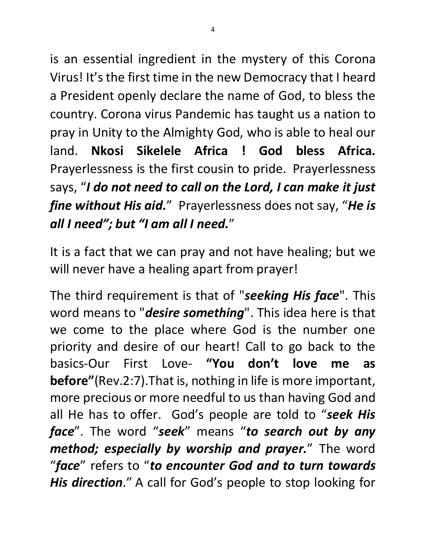is an essential ingredient in the mystery of this Corona Virus! It's the first time in the new Democracy that I heard a President openly declare the name of God, to bless the country. Corona virus Pandemic has taught us a nation to pray in Unity to the Almighty God, who is able to heal our land. **Nkosi Sikelele Africa ! God bless Africa.** Prayerlessness is the first cousin to pride. Prayerlessness says, "*I do not need to call on the Lord, I can make it just fine without His aid.*" Prayerlessness does not say, "*He is all I need"; but "I am all I need.*"

It is a fact that we can pray and not have healing; but we will never have a healing apart from prayer!

The third requirement is that of "*seeking His face*". This word means to "*desire something*". This idea here is that we come to the place where God is the number one priority and desire of our heart! Call to go back to the basics-Our First Love- **"You don't love me as before"**(Rev.2:7).That is, nothing in life is more important, more precious or more needful to us than having God and all He has to offer. God's people are told to "*seek His face*". The word "*seek*" means "*to search out by any method; especially by worship and prayer.*" The word "*face*" refers to "*to encounter God and to turn towards His direction*." A call for God's people to stop looking for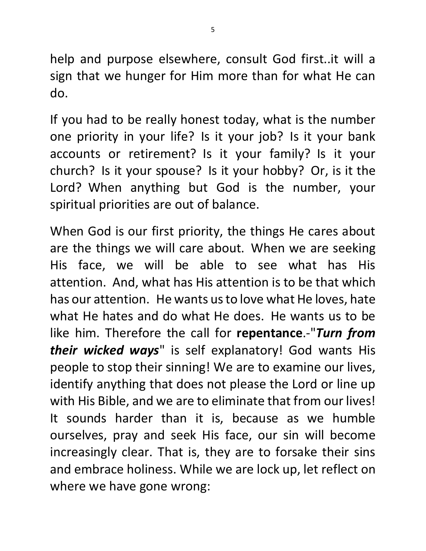help and purpose elsewhere, consult God first..it will a sign that we hunger for Him more than for what He can do.

If you had to be really honest today, what is the number one priority in your life? Is it your job? Is it your bank accounts or retirement? Is it your family? Is it your church? Is it your spouse? Is it your hobby? Or, is it the Lord? When anything but God is the number, your spiritual priorities are out of balance.

When God is our first priority, the things He cares about are the things we will care about. When we are seeking His face, we will be able to see what has His attention. And, what has His attention is to be that which has our attention. He wants us to love what He loves, hate what He hates and do what He does. He wants us to be like him. Therefore the call for **repentance**.-"*Turn from their wicked ways*" is self explanatory! God wants His people to stop their sinning! We are to examine our lives, identify anything that does not please the Lord or line up with His Bible, and we are to eliminate that from our lives! It sounds harder than it is, because as we humble ourselves, pray and seek His face, our sin will become increasingly clear. That is, they are to forsake their sins and embrace holiness. While we are lock up, let reflect on where we have gone wrong: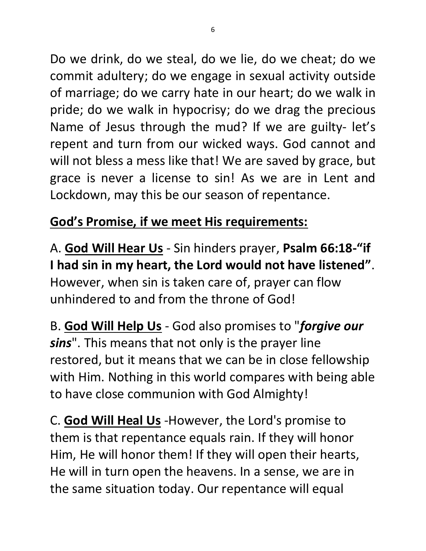Do we drink, do we steal, do we lie, do we cheat; do we commit adultery; do we engage in sexual activity outside of marriage; do we carry hate in our heart; do we walk in pride; do we walk in hypocrisy; do we drag the precious Name of Jesus through the mud? If we are guilty- let's repent and turn from our wicked ways. God cannot and will not bless a mess like that! We are saved by grace, but grace is never a license to sin! As we are in Lent and Lockdown, may this be our season of repentance.

## **God's Promise, if we meet His requirements:**

A. **God Will Hear Us** - Sin hinders prayer, **Psalm 66:18-"if I had sin in my heart, the Lord would not have listened"**. However, when sin is taken care of, prayer can flow unhindered to and from the throne of God!

B. **God Will Help Us** - God also promises to "*forgive our sins*". This means that not only is the prayer line restored, but it means that we can be in close fellowship with Him. Nothing in this world compares with being able to have close communion with God Almighty!

C. **God Will Heal Us** -However, the Lord's promise to them is that repentance equals rain. If they will honor Him, He will honor them! If they will open their hearts, He will in turn open the heavens. In a sense, we are in the same situation today. Our repentance will equal